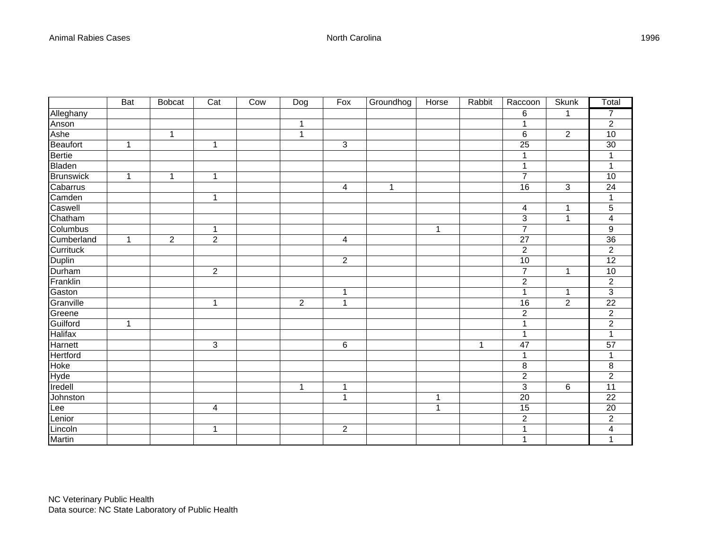|                  | <b>Bat</b>   | <b>Bobcat</b>  | $\overline{Cat}$          | Cow | Dog            | Fox            | Groundhog | Horse          | Rabbit | Raccoon          | <b>Skunk</b>   | Total                   |
|------------------|--------------|----------------|---------------------------|-----|----------------|----------------|-----------|----------------|--------|------------------|----------------|-------------------------|
| Alleghany        |              |                |                           |     |                |                |           |                |        | 6                | $\mathbf{1}$   | $\overline{7}$          |
| Anson            |              |                |                           |     | 1              |                |           |                |        | 1                |                | $\overline{c}$          |
|                  |              | $\mathbf 1$    |                           |     | $\mathbf 1$    |                |           |                |        | 6                | $\overline{2}$ | 10                      |
| Ashe<br>Beaufort | 1            |                | 1                         |     |                | $\mathfrak{S}$ |           |                |        | 25               |                | 30                      |
| <b>Bertie</b>    |              |                |                           |     |                |                |           |                |        | 1                |                | 1                       |
| Bladen           |              |                |                           |     |                |                |           |                |        | 1                |                | 1                       |
| Brunswick        | 1            | 1              | 1                         |     |                |                |           |                |        | $\overline{7}$   |                | 10                      |
| Cabarrus         |              |                |                           |     |                | 4              | 1         |                |        | 16               | 3              | 24                      |
| Camden           |              |                | $\mathbf{1}$              |     |                |                |           |                |        |                  |                | $\mathbf{1}$            |
| Caswell          |              |                |                           |     |                |                |           |                |        | 4                | 1              | 5                       |
| Chatham          |              |                |                           |     |                |                |           |                |        | 3                | $\mathbf{1}$   | $\overline{\mathbf{4}}$ |
| Columbus         |              |                | 1                         |     |                |                |           | 1              |        | $\overline{7}$   |                | 9                       |
| Cumberland       | 1            | $\overline{2}$ | $\overline{2}$            |     |                | 4              |           |                |        | 27               |                | 36                      |
| Currituck        |              |                |                           |     |                |                |           |                |        | $\overline{c}$   |                | $\overline{2}$          |
| Duplin           |              |                |                           |     |                | $\overline{2}$ |           |                |        | 10               |                | $\overline{12}$         |
| Durham           |              |                | $\sqrt{2}$                |     |                |                |           |                |        | $\overline{7}$   | 1              | 10                      |
| Franklin         |              |                |                           |     |                |                |           |                |        | $\boldsymbol{2}$ |                | $\overline{c}$          |
| Gaston           |              |                |                           |     |                | 1              |           |                |        | 1                | 1              | 3                       |
| Granville        |              |                | $\mathbf{1}$              |     | $\overline{2}$ | 1              |           |                |        | 16               | $\sqrt{2}$     | $\overline{22}$         |
| Greene           |              |                |                           |     |                |                |           |                |        | $\overline{2}$   |                | $\overline{2}$          |
| Guilford         | $\mathbf{1}$ |                |                           |     |                |                |           |                |        | 1                |                | $\overline{c}$          |
| <b>Halifax</b>   |              |                |                           |     |                |                |           |                |        | 1                |                | 1                       |
| <b>Harnett</b>   |              |                | $\ensuremath{\mathsf{3}}$ |     |                | $\,6$          |           |                | 1      | 47               |                | $\overline{57}$         |
| Hertford         |              |                |                           |     |                |                |           |                |        | 1                |                | 1                       |
| Hoke             |              |                |                           |     |                |                |           |                |        | 8                |                | 8                       |
| Hyde             |              |                |                           |     |                |                |           |                |        | $\overline{c}$   |                | $\overline{c}$          |
| Iredell          |              |                |                           |     | 1              | 1              |           |                |        | 3                | 6              | 11                      |
| Johnston         |              |                |                           |     |                | 1              |           | $\overline{1}$ |        | 20               |                | $\overline{22}$         |
| Lee              |              |                | 4                         |     |                |                |           | 1              |        | 15               |                | 20                      |
| Lenior           |              |                |                           |     |                |                |           |                |        | $\overline{c}$   |                | $\overline{2}$          |
| Lincoln          |              |                | 1                         |     |                | $\overline{2}$ |           |                |        | 1                |                | 4                       |
| Martin           |              |                |                           |     |                |                |           |                |        | 1                |                | $\mathbf{1}$            |